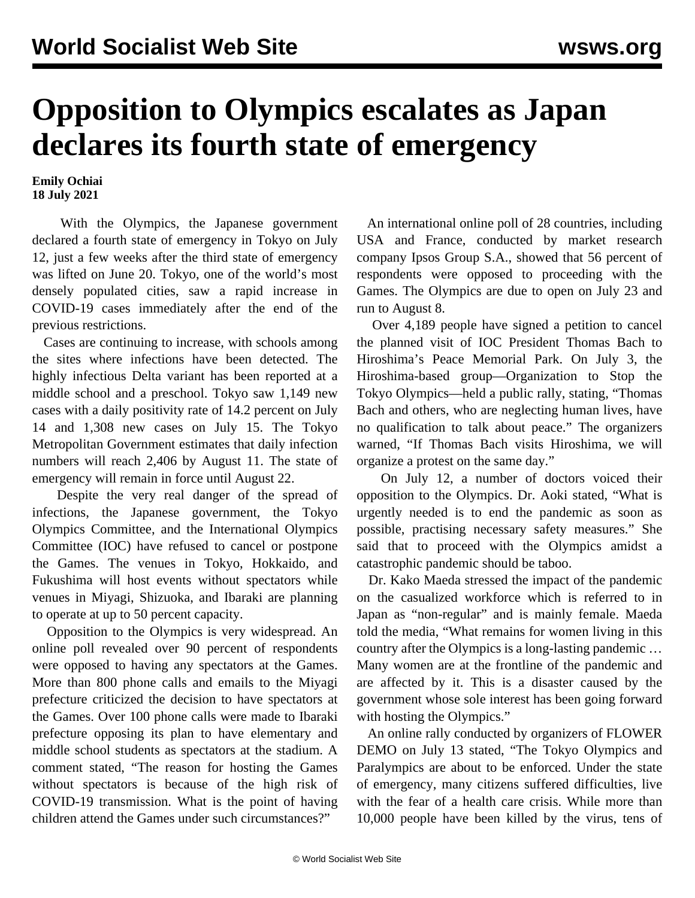## **Opposition to Olympics escalates as Japan declares its fourth state of emergency**

**Emily Ochiai 18 July 2021**

 With the Olympics, the Japanese government declared a fourth state of emergency in Tokyo on July 12, just a few weeks after the third state of emergency was lifted on June 20. Tokyo, one of the world's most densely populated cities, saw a rapid increase in COVID-19 cases immediately after the end of the previous restrictions.

 Cases are continuing to increase, with schools among the sites where infections have been detected. The highly infectious Delta variant has been reported at a middle school and a preschool. Tokyo saw 1,149 new cases with a daily positivity rate of 14.2 percent on July 14 and 1,308 new cases on July 15. The Tokyo Metropolitan Government estimates that daily infection numbers will reach 2,406 by August 11. The state of emergency will remain in force until August 22.

 Despite the very real danger of the spread of infections, the Japanese government, the Tokyo Olympics Committee, and the International Olympics Committee (IOC) have refused to cancel or postpone the Games. The venues in Tokyo, Hokkaido, and Fukushima will host events without spectators while venues in Miyagi, Shizuoka, and Ibaraki are planning to operate at up to 50 percent capacity.

 Opposition to the Olympics is very widespread. An online poll revealed over 90 percent of respondents were opposed to having any spectators at the Games. More than 800 phone calls and emails to the Miyagi prefecture criticized the decision to have spectators at the Games. Over 100 phone calls were made to Ibaraki prefecture opposing its plan to have elementary and middle school students as spectators at the stadium. A comment stated, "The reason for hosting the Games without spectators is because of the high risk of COVID-19 transmission. What is the point of having children attend the Games under such circumstances?"

 An international online poll of 28 countries, including USA and France, conducted by market research company Ipsos Group S.A., showed that 56 percent of respondents were opposed to proceeding with the Games. The Olympics are due to open on July 23 and run to August 8.

 Over 4,189 people have signed a petition to cancel the planned visit of IOC President Thomas Bach to Hiroshima's Peace Memorial Park. On July 3, the Hiroshima-based group—Organization to Stop the Tokyo Olympics—held a public rally, stating, "Thomas Bach and others, who are neglecting human lives, have no qualification to talk about peace." The organizers warned, "If Thomas Bach visits Hiroshima, we will organize a protest on the same day."

 On July 12, a number of doctors voiced their opposition to the Olympics. Dr. Aoki stated, "What is urgently needed is to end the pandemic as soon as possible, practising necessary safety measures." She said that to proceed with the Olympics amidst a catastrophic pandemic should be taboo.

 Dr. Kako Maeda stressed the impact of the pandemic on the casualized workforce which is referred to in Japan as "non-regular" and is mainly female. Maeda told the media, "What remains for women living in this country after the Olympics is a long-lasting pandemic … Many women are at the frontline of the pandemic and are affected by it. This is a disaster caused by the government whose sole interest has been going forward with hosting the Olympics."

 An online rally conducted by organizers of FLOWER DEMO on July 13 stated, "The Tokyo Olympics and Paralympics are about to be enforced. Under the state of emergency, many citizens suffered difficulties, live with the fear of a health care crisis. While more than 10,000 people have been killed by the virus, tens of